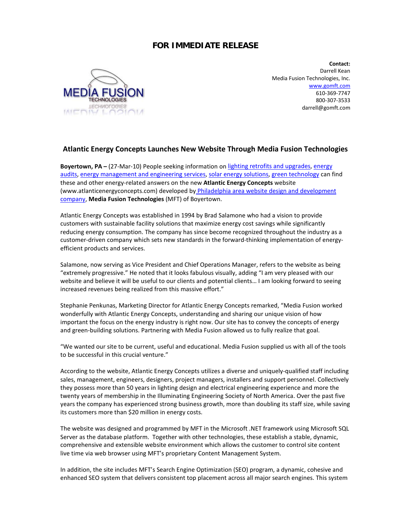## **FOR IMMEDIATE RELEASE**



**Contact:** Darrell Kean Media Fusion Technologies, Inc. [www.gomft.com](http://www.gomft.com/) 610-369-7747 800-307-3533 darrell@gomft.com

## **Atlantic Energy Concepts Launches New Website Through Media Fusion Technologies**

**Boyertown, PA** – (27-Mar-10) People seeking information on lighting retrofits and upgrades, energy [audits, energy management and engineering services, solar energy solutions, green technology](http://www.atlanticenergyconcepts.com/) can find these and other energy-related answers on the new **Atlantic Energy Concepts** website (www.atlanticenergyconcepts.com) developed by Philadelphia area website design and development [company,](http://www.gomft.com/) **Media Fusion Technologies** (MFT) of Boyertown.

Atlantic Energy Concepts was established in 1994 by Brad Salamone who had a vision to provide customers with sustainable facility solutions that maximize energy cost savings while significantly reducing energy consumption. The company has since become recognized throughout the industry as a customer-driven company which sets new standards in the forward-thinking implementation of energyefficient products and services.

Salamone, now serving as Vice President and Chief Operations Manager, refers to the website as being "extremely progressive." He noted that it looks fabulous visually, adding "I am very pleased with our website and believe it will be useful to our clients and potential clients… I am looking forward to seeing increased revenues being realized from this massive effort."

Stephanie Penkunas, Marketing Director for Atlantic Energy Concepts remarked, "Media Fusion worked wonderfully with Atlantic Energy Concepts, understanding and sharing our unique vision of how important the focus on the energy industry is right now. Our site has to convey the concepts of energy and green-building solutions. Partnering with Media Fusion allowed us to fully realize that goal.

"We wanted our site to be current, useful and educational. Media Fusion supplied us with all of the tools to be successful in this crucial venture."

According to the website, Atlantic Energy Concepts utilizes a diverse and uniquely-qualified staff including sales, management, engineers, designers, project managers, installers and support personnel. Collectively they possess more than 50 years in lighting design and electrical engineering experience and more the twenty years of membership in the Illuminating Engineering Society of North America. Over the past five years the company has experienced strong business growth, more than doubling its staff size, while saving its customers more than \$20 million in energy costs.

The website was designed and programmed by MFT in the Microsoft .NET framework using Microsoft SQL Server as the database platform. Together with other technologies, these establish a stable, dynamic, comprehensive and extensible website environment which allows the customer to control site content live time via web browser using MFT's proprietary Content Management System.

In addition, the site includes MFT's Search Engine Optimization (SEO) program, a dynamic, cohesive and enhanced SEO system that delivers consistent top placement across all major search engines. This system